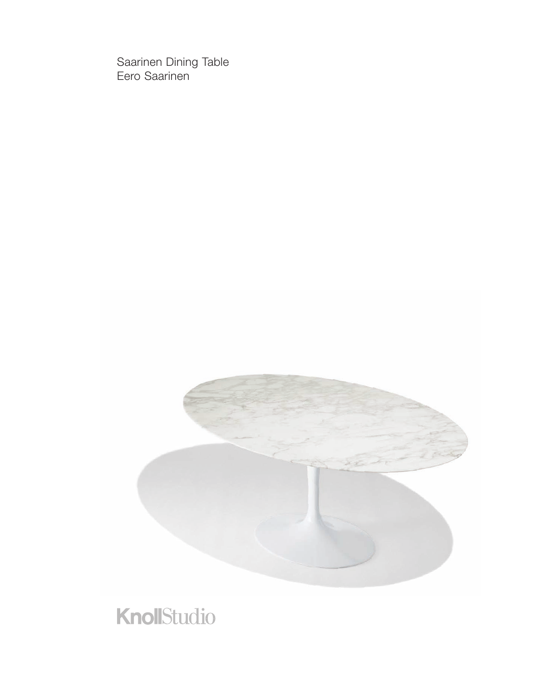Saarinen Dining Table Eero Saarinen



## KnollStudio